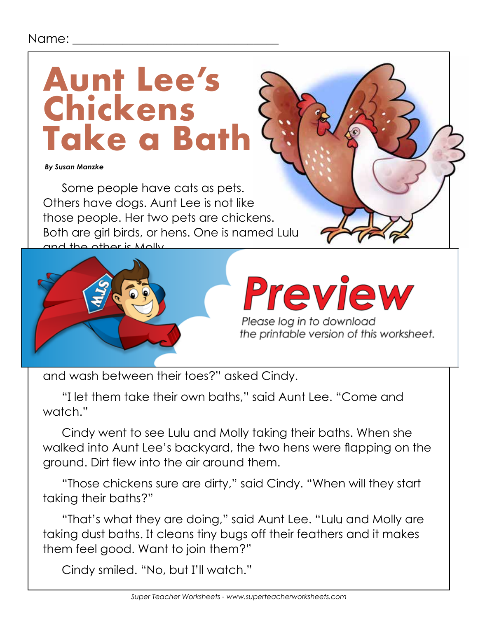#### Name:

## **Aunt Lee's Chickens Take a Bath**

 *By Susan Manzke*

Some people have cats as pets. Others have dogs. Aunt Lee is not like those people. Her two pets are chickens. Both are girl birds, or hens. One is named Lulu and the other is Molly.



# Preview

Please log in to download<br>the printable version of this worksheet.

and wash between their toes?" asked Cindy.

"I let them take their own baths," said Aunt Lee. "Come and watch."

Cindy went to see Lulu and Molly taking their baths. When she walked into Aunt Lee's backyard, the two hens were flapping on the ground. Dirt flew into the air around them.

"Those chickens sure are dirty," said Cindy. "When will they start taking their baths?"

"That's what they are doing," said Aunt Lee. "Lulu and Molly are taking dust baths. It cleans tiny bugs off their feathers and it makes them feel good. Want to join them?"

Cindy smiled. "No, but I'll watch."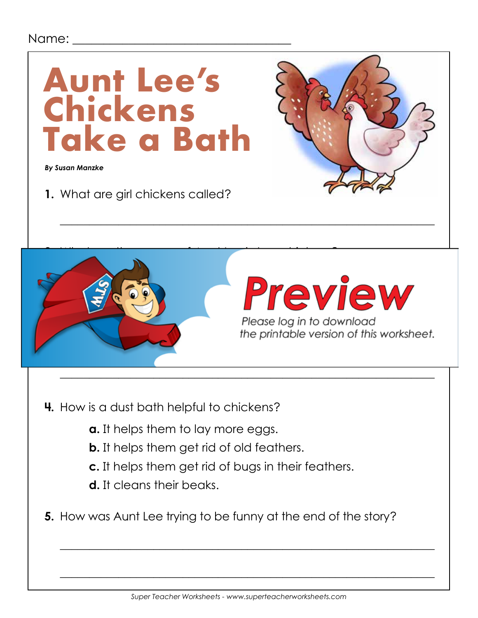#### Name: \_\_\_



 $\mathcal{L} = \mathcal{L} \cup \mathcal{L} = \mathcal{L} \cup \mathcal{L} = \mathcal{L} \cup \mathcal{L} = \mathcal{L} \cup \mathcal{L} = \mathcal{L} \cup \mathcal{L} = \mathcal{L} \cup \mathcal{L} = \mathcal{L} \cup \mathcal{L} = \mathcal{L} \cup \mathcal{L} = \mathcal{L} \cup \mathcal{L} = \mathcal{L} \cup \mathcal{L} = \mathcal{L} \cup \mathcal{L} = \mathcal{L} \cup \mathcal{L} = \mathcal{L} \cup \mathcal{L} = \mathcal{L} \cup \mathcal{L} = \mathcal$ 

 $\overline{\phantom{a}}$  , and the contract of the contract of the contract of the contract of the contract of the contract of the contract of the contract of the contract of the contract of the contract of the contract of the contrac

- **4.** How is a dust bath helpful to chickens?
	- **a.** It helps them to lay more eggs.
	- **b.** It helps them get rid of old feathers.
	- **c.** It helps them get rid of bugs in their feathers.
	- **d.** It cleans their beaks.
- **5.** How was Aunt Lee trying to be funny at the end of the story?

 $\overline{\phantom{a}}$  , and the contract of the contract of the contract of the contract of the contract of the contract of the contract of the contract of the contract of the contract of the contract of the contract of the contrac

 $\overline{\phantom{a}}$  , and the contract of the contract of the contract of the contract of the contract of the contract of the contract of the contract of the contract of the contract of the contract of the contract of the contrac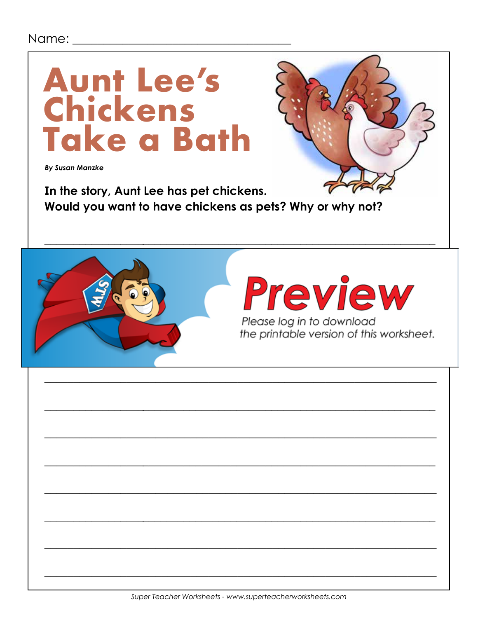#### Name: \_\_\_\_\_\_\_\_



**By Susan Manzke** 

In the story, Aunt Lee has pet chickens. Would you want to have chickens as pets? Why or why not?



**Preview** 

Please log in to download the printable version of this worksheet.